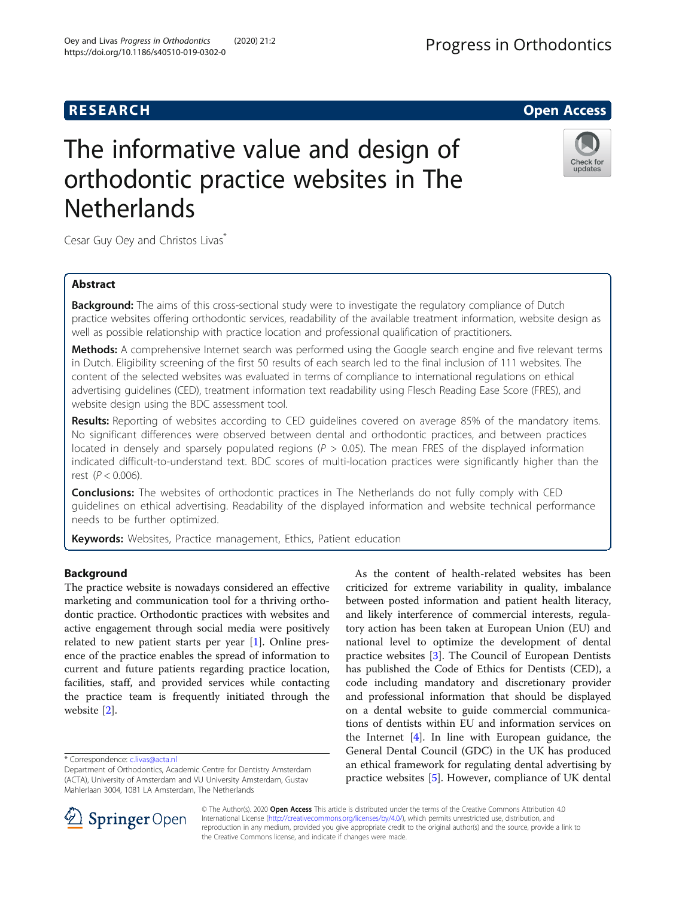# **RESEARCH CHILD CONTROL** CONTROL CONTROL CONTROL CONTROL CONTROL CONTROL CONTROL CONTROL CONTROL CONTROL CONTROL

# The informative value and design of orthodontic practice websites in The **Netherlands**

Cesar Guy Oey and Christos Livas\*

# Abstract

**Background:** The aims of this cross-sectional study were to investigate the regulatory compliance of Dutch practice websites offering orthodontic services, readability of the available treatment information, website design as well as possible relationship with practice location and professional qualification of practitioners.

Methods: A comprehensive Internet search was performed using the Google search engine and five relevant terms in Dutch. Eligibility screening of the first 50 results of each search led to the final inclusion of 111 websites. The content of the selected websites was evaluated in terms of compliance to international regulations on ethical advertising guidelines (CED), treatment information text readability using Flesch Reading Ease Score (FRES), and website design using the BDC assessment tool.

Results: Reporting of websites according to CED quidelines covered on average 85% of the mandatory items. No significant differences were observed between dental and orthodontic practices, and between practices located in densely and sparsely populated regions ( $P > 0.05$ ). The mean FRES of the displayed information indicated difficult-to-understand text. BDC scores of multi-location practices were significantly higher than the rest ( $P < 0.006$ ).

**Conclusions:** The websites of orthodontic practices in The Netherlands do not fully comply with CED guidelines on ethical advertising. Readability of the displayed information and website technical performance needs to be further optimized.

Keywords: Websites, Practice management, Ethics, Patient education

# Background

The practice website is nowadays considered an effective marketing and communication tool for a thriving orthodontic practice. Orthodontic practices with websites and active engagement through social media were positively related to new patient starts per year [\[1](#page-5-0)]. Online presence of the practice enables the spread of information to current and future patients regarding practice location, facilities, staff, and provided services while contacting the practice team is frequently initiated through the website [\[2\]](#page-5-0).

\* Correspondence: [c.livas@acta.nl](mailto:c.livas@acta.nl)

© The Author(s). 2020 Open Access This article is distributed under the terms of the Creative Commons Attribution 4.0 International License ([http://creativecommons.org/licenses/by/4.0/\)](http://creativecommons.org/licenses/by/4.0/), which permits unrestricted use, distribution, and reproduction in any medium, provided you give appropriate credit to the original author(s) and the source, provide a link to the Creative Commons license, and indicate if changes were made.

criticized for extreme variability in quality, imbalance between posted information and patient health literacy, and likely interference of commercial interests, regulatory action has been taken at European Union (EU) and national level to optimize the development of dental practice websites [\[3](#page-5-0)]. The Council of European Dentists has published the Code of Ethics for Dentists (CED), a code including mandatory and discretionary provider and professional information that should be displayed on a dental website to guide commercial communications of dentists within EU and information services on the Internet [\[4](#page-5-0)]. In line with European guidance, the General Dental Council (GDC) in the UK has produced an ethical framework for regulating dental advertising by practice websites [\[5](#page-5-0)]. However, compliance of UK dental

As the content of health-related websites has been





Department of Orthodontics, Academic Centre for Dentistry Amsterdam (ACTA), University of Amsterdam and VU University Amsterdam, Gustav Mahlerlaan 3004, 1081 LA Amsterdam, The Netherlands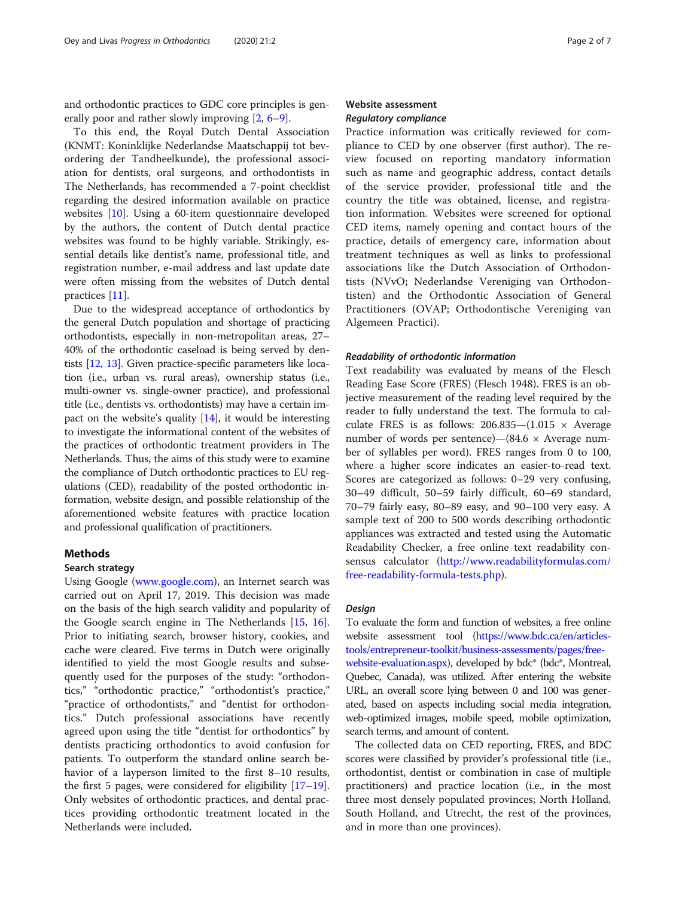and orthodontic practices to GDC core principles is generally poor and rather slowly improving [\[2](#page-5-0), [6](#page-5-0)–[9](#page-5-0)].

To this end, the Royal Dutch Dental Association (KNMT: Koninklijke Nederlandse Maatschappij tot bevordering der Tandheelkunde), the professional association for dentists, oral surgeons, and orthodontists in The Netherlands, has recommended a 7-point checklist regarding the desired information available on practice websites [\[10\]](#page-5-0). Using a 60-item questionnaire developed by the authors, the content of Dutch dental practice websites was found to be highly variable. Strikingly, essential details like dentist's name, professional title, and registration number, e-mail address and last update date were often missing from the websites of Dutch dental practices [[11\]](#page-6-0).

Due to the widespread acceptance of orthodontics by the general Dutch population and shortage of practicing orthodontists, especially in non-metropolitan areas, 27– 40% of the orthodontic caseload is being served by dentists [\[12,](#page-6-0) [13](#page-6-0)]. Given practice-specific parameters like location (i.e., urban vs. rural areas), ownership status (i.e., multi-owner vs. single-owner practice), and professional title (i.e., dentists vs. orthodontists) may have a certain impact on the website's quality  $[14]$  $[14]$  $[14]$ , it would be interesting to investigate the informational content of the websites of the practices of orthodontic treatment providers in The Netherlands. Thus, the aims of this study were to examine the compliance of Dutch orthodontic practices to EU regulations (CED), readability of the posted orthodontic information, website design, and possible relationship of the aforementioned website features with practice location and professional qualification of practitioners.

# Methods

#### Search strategy

Using Google [\(www.google.com](http://www.google.com)), an Internet search was carried out on April 17, 2019. This decision was made on the basis of the high search validity and popularity of the Google search engine in The Netherlands [\[15,](#page-6-0) [16](#page-6-0)]. Prior to initiating search, browser history, cookies, and cache were cleared. Five terms in Dutch were originally identified to yield the most Google results and subsequently used for the purposes of the study: "orthodontics," "orthodontic practice," "orthodontist's practice," "practice of orthodontists," and "dentist for orthodontics." Dutch professional associations have recently agreed upon using the title "dentist for orthodontics" by dentists practicing orthodontics to avoid confusion for patients. To outperform the standard online search behavior of a layperson limited to the first 8–10 results, the first 5 pages, were considered for eligibility  $[17-19]$  $[17-19]$  $[17-19]$  $[17-19]$  $[17-19]$ . Only websites of orthodontic practices, and dental practices providing orthodontic treatment located in the Netherlands were included.

# Website assessment Regulatory compliance

Practice information was critically reviewed for compliance to CED by one observer (first author). The review focused on reporting mandatory information such as name and geographic address, contact details of the service provider, professional title and the country the title was obtained, license, and registration information. Websites were screened for optional CED items, namely opening and contact hours of the practice, details of emergency care, information about treatment techniques as well as links to professional associations like the Dutch Association of Orthodontists (NVvO; Nederlandse Vereniging van Orthodontisten) and the Orthodontic Association of General Practitioners (OVAP; Orthodontische Vereniging van Algemeen Practici).

#### Readability of orthodontic information

Text readability was evaluated by means of the Flesch Reading Ease Score (FRES) (Flesch 1948). FRES is an objective measurement of the reading level required by the reader to fully understand the text. The formula to calculate FRES is as follows:  $206.835 - (1.015 \times \text{Average})$ number of words per sentence)—(84.6  $\times$  Average number of syllables per word). FRES ranges from 0 to 100, where a higher score indicates an easier-to-read text. Scores are categorized as follows: 0–29 very confusing, 30–49 difficult, 50–59 fairly difficult, 60–69 standard, 70–79 fairly easy, 80–89 easy, and 90–100 very easy. A sample text of 200 to 500 words describing orthodontic appliances was extracted and tested using the Automatic Readability Checker, a free online text readability consensus calculator ([http://www.readabilityformulas.com/](http://www.readabilityformulas.com/free-readability-formula-tests.php) [free-readability-formula-tests.php\)](http://www.readabilityformulas.com/free-readability-formula-tests.php).

#### Design

To evaluate the form and function of websites, a free online website assessment tool [\(https://www.bdc.ca/en/articles](https://www.bdc.ca/en/articles-tools/entrepreneur-toolkit/business-assessments/pages/free-website-evaluation.aspx)[tools/entrepreneur-toolkit/business-assessments/pages/free](https://www.bdc.ca/en/articles-tools/entrepreneur-toolkit/business-assessments/pages/free-website-evaluation.aspx)[website-evaluation.aspx](https://www.bdc.ca/en/articles-tools/entrepreneur-toolkit/business-assessments/pages/free-website-evaluation.aspx)), developed by bdc\* (bdc\*, Montreal, Quebec, Canada), was utilized. After entering the website URL, an overall score lying between 0 and 100 was generated, based on aspects including social media integration, web-optimized images, mobile speed, mobile optimization, search terms, and amount of content.

The collected data on CED reporting, FRES, and BDC scores were classified by provider's professional title (i.e., orthodontist, dentist or combination in case of multiple practitioners) and practice location (i.e., in the most three most densely populated provinces; North Holland, South Holland, and Utrecht, the rest of the provinces, and in more than one provinces).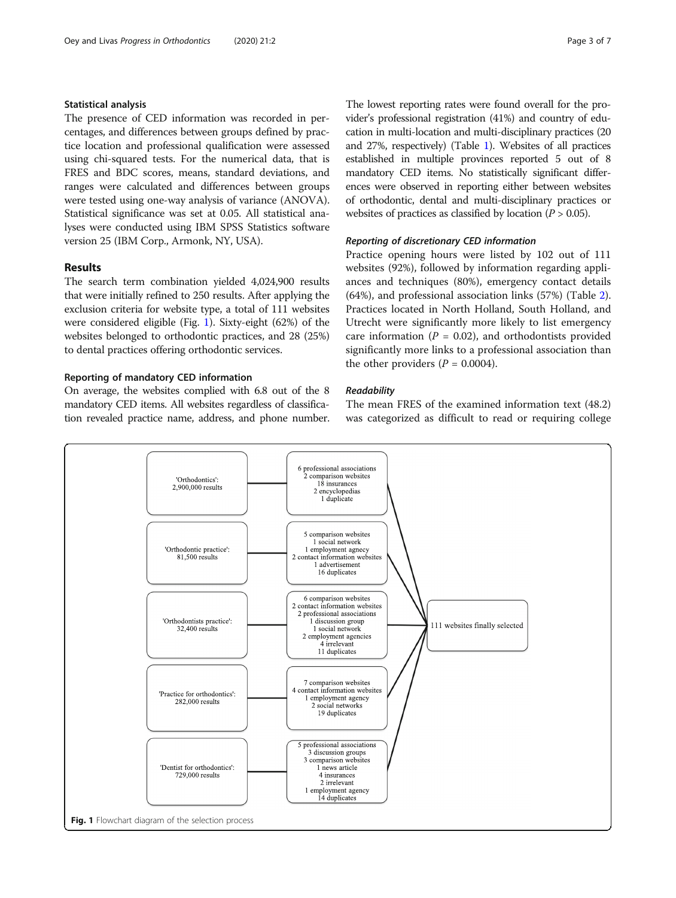## Statistical analysis

The presence of CED information was recorded in percentages, and differences between groups defined by practice location and professional qualification were assessed using chi-squared tests. For the numerical data, that is FRES and BDC scores, means, standard deviations, and ranges were calculated and differences between groups were tested using one-way analysis of variance (ANOVA). Statistical significance was set at 0.05. All statistical analyses were conducted using IBM SPSS Statistics software version 25 (IBM Corp., Armonk, NY, USA).

## Results

The search term combination yielded 4,024,900 results that were initially refined to 250 results. After applying the exclusion criteria for website type, a total of 111 websites were considered eligible (Fig. 1). Sixty-eight (62%) of the websites belonged to orthodontic practices, and 28 (25%) to dental practices offering orthodontic services.

# Reporting of mandatory CED information

On average, the websites complied with 6.8 out of the 8 mandatory CED items. All websites regardless of classification revealed practice name, address, and phone number.

The lowest reporting rates were found overall for the provider's professional registration (41%) and country of education in multi-location and multi-disciplinary practices (20 and 27%, respectively) (Table [1](#page-3-0)). Websites of all practices established in multiple provinces reported 5 out of 8 mandatory CED items. No statistically significant differences were observed in reporting either between websites of orthodontic, dental and multi-disciplinary practices or websites of practices as classified by location ( $P > 0.05$ ).

### Reporting of discretionary CED information

Practice opening hours were listed by 102 out of 111 websites (92%), followed by information regarding appliances and techniques (80%), emergency contact details (64%), and professional association links (57%) (Table [2](#page-3-0)). Practices located in North Holland, South Holland, and Utrecht were significantly more likely to list emergency care information ( $P = 0.02$ ), and orthodontists provided significantly more links to a professional association than the other providers  $(P = 0.0004)$ .

### **Readability**

The mean FRES of the examined information text (48.2) was categorized as difficult to read or requiring college

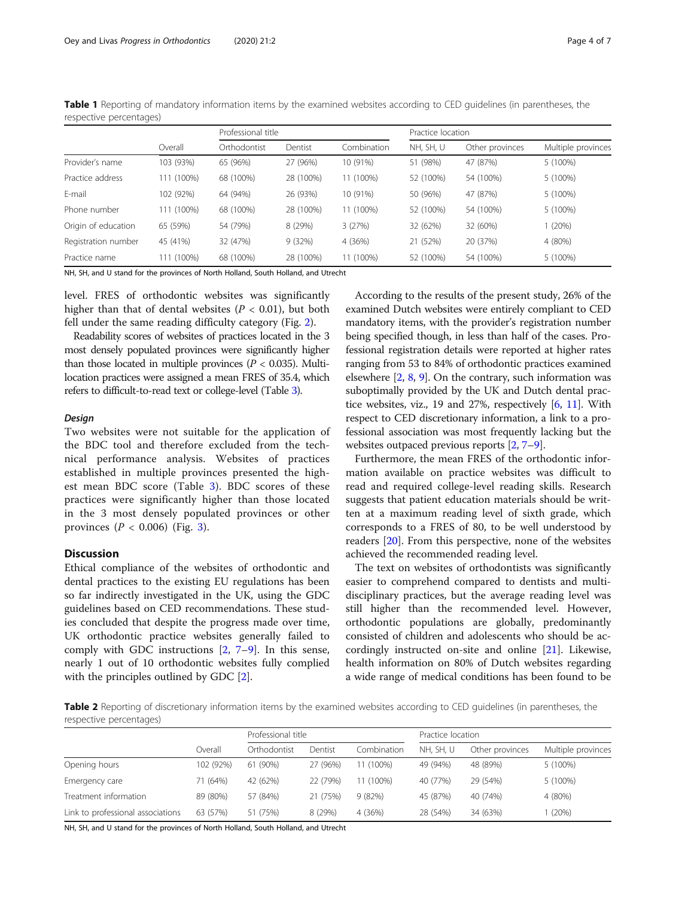|                     |            | Professional title |           |             | Practice location |                 |                    |
|---------------------|------------|--------------------|-----------|-------------|-------------------|-----------------|--------------------|
|                     | Overall    | Orthodontist       | Dentist   | Combination | NH, SH, U         | Other provinces | Multiple provinces |
| Provider's name     | 103 (93%)  | 65 (96%)           | 27 (96%)  | 10 (91%)    | 51 (98%)          | 47 (87%)        | 5 (100%)           |
| Practice address    | 111 (100%) | 68 (100%)          | 28 (100%) | 11 (100%)   | 52 (100%)         | 54 (100%)       | 5 (100%)           |
| E-mail              | 102 (92%)  | 64 (94%)           | 26 (93%)  | 10 (91%)    | 50 (96%)          | 47 (87%)        | 5 (100%)           |
| Phone number        | 111 (100%) | 68 (100%)          | 28 (100%) | 11 (100%)   | 52 (100%)         | 54 (100%)       | 5 (100%)           |
| Origin of education | 65 (59%)   | 54 (79%)           | 8 (29%)   | 3(27%)      | 32 (62%)          | 32 (60%)        | 1(20%)             |
| Registration number | 45 (41%)   | 32 (47%)           | 9(32%)    | 4 (36%)     | 21 (52%)          | 20 (37%)        | 4 (80%)            |
| Practice name       | 111 (100%) | 68 (100%)          | 28 (100%) | 11 (100%)   | 52 (100%)         | 54 (100%)       | 5 (100%)           |

<span id="page-3-0"></span>Table 1 Reporting of mandatory information items by the examined websites according to CED guidelines (in parentheses, the respective percentages)

NH, SH, and U stand for the provinces of North Holland, South Holland, and Utrecht

level. FRES of orthodontic websites was significantly higher than that of dental websites ( $P < 0.01$ ), but both fell under the same reading difficulty category (Fig. [2](#page-4-0)).

Readability scores of websites of practices located in the 3 most densely populated provinces were significantly higher than those located in multiple provinces ( $P < 0.035$ ). Multilocation practices were assigned a mean FRES of 35.4, which refers to difficult-to-read text or college-level (Table [3\)](#page-4-0).

#### Design

Two websites were not suitable for the application of the BDC tool and therefore excluded from the technical performance analysis. Websites of practices established in multiple provinces presented the highest mean BDC score (Table [3\)](#page-4-0). BDC scores of these practices were significantly higher than those located in the 3 most densely populated provinces or other provinces  $(P < 0.006)$  (Fig. [3](#page-5-0)).

## Discussion

Ethical compliance of the websites of orthodontic and dental practices to the existing EU regulations has been so far indirectly investigated in the UK, using the GDC guidelines based on CED recommendations. These studies concluded that despite the progress made over time, UK orthodontic practice websites generally failed to comply with GDC instructions [\[2,](#page-5-0) [7](#page-5-0)–[9\]](#page-5-0). In this sense, nearly 1 out of 10 orthodontic websites fully complied with the principles outlined by GDC [\[2](#page-5-0)].

According to the results of the present study, 26% of the examined Dutch websites were entirely compliant to CED mandatory items, with the provider's registration number being specified though, in less than half of the cases. Professional registration details were reported at higher rates ranging from 53 to 84% of orthodontic practices examined elsewhere  $[2, 8, 9]$  $[2, 8, 9]$  $[2, 8, 9]$  $[2, 8, 9]$  $[2, 8, 9]$  $[2, 8, 9]$  $[2, 8, 9]$ . On the contrary, such information was suboptimally provided by the UK and Dutch dental practice websites, viz., 19 and 27%, respectively [[6](#page-5-0), [11\]](#page-6-0). With respect to CED discretionary information, a link to a professional association was most frequently lacking but the websites outpaced previous reports [\[2](#page-5-0), [7](#page-5-0)–[9](#page-5-0)].

Furthermore, the mean FRES of the orthodontic information available on practice websites was difficult to read and required college-level reading skills. Research suggests that patient education materials should be written at a maximum reading level of sixth grade, which corresponds to a FRES of 80, to be well understood by readers [[20\]](#page-6-0). From this perspective, none of the websites achieved the recommended reading level.

The text on websites of orthodontists was significantly easier to comprehend compared to dentists and multidisciplinary practices, but the average reading level was still higher than the recommended level. However, orthodontic populations are globally, predominantly consisted of children and adolescents who should be accordingly instructed on-site and online [\[21](#page-6-0)]. Likewise, health information on 80% of Dutch websites regarding a wide range of medical conditions has been found to be

Table 2 Reporting of discretionary information items by the examined websites according to CED guidelines (in parentheses, the respective percentages)

|                                   | Overall   | Professional title |          |             | Practice location |                 |                    |
|-----------------------------------|-----------|--------------------|----------|-------------|-------------------|-----------------|--------------------|
|                                   |           | Orthodontist       | Dentist  | Combination | NH. SH. U         | Other provinces | Multiple provinces |
| Opening hours                     | 102 (92%) | 61 (90%)           | 27 (96%) | 11 (100%)   | 49 (94%)          | 48 (89%)        | 5 (100%)           |
| Emergency care                    | 71 (64%)  | 42 (62%)           | 22 (79%) | 11 (100%)   | 40 (77%)          | 29 (54%)        | 5 (100%)           |
| Treatment information             | 89 (80%)  | 57 (84%)           | 21 (75%) | 9(82%)      | 45 (87%)          | 40 (74%)        | 4 (80%)            |
| Link to professional associations | 63 (57%)  | 51 (75%)           | 8 (29%)  | 4 (36%)     | 28 (54%)          | 34 (63%)        | (20%)              |

NH, SH, and U stand for the provinces of North Holland, South Holland, and Utrecht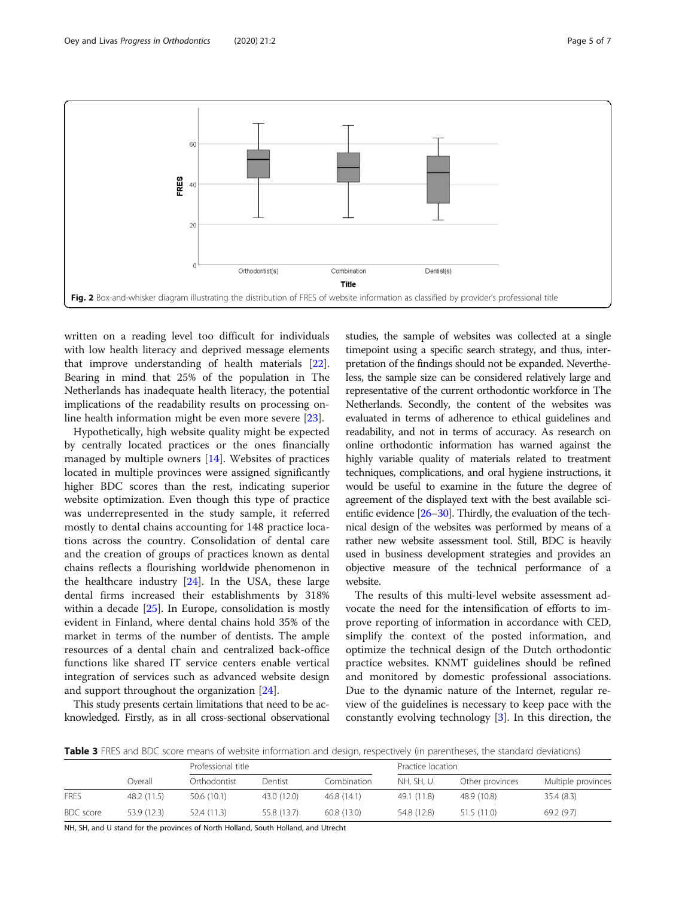<span id="page-4-0"></span>

written on a reading level too difficult for individuals with low health literacy and deprived message elements that improve understanding of health materials [\[22](#page-6-0)]. Bearing in mind that 25% of the population in The Netherlands has inadequate health literacy, the potential implications of the readability results on processing online health information might be even more severe [[23](#page-6-0)].

Hypothetically, high website quality might be expected by centrally located practices or the ones financially managed by multiple owners [[14](#page-6-0)]. Websites of practices located in multiple provinces were assigned significantly higher BDC scores than the rest, indicating superior website optimization. Even though this type of practice was underrepresented in the study sample, it referred mostly to dental chains accounting for 148 practice locations across the country. Consolidation of dental care and the creation of groups of practices known as dental chains reflects a flourishing worldwide phenomenon in the healthcare industry [[24](#page-6-0)]. In the USA, these large dental firms increased their establishments by 318% within a decade [[25\]](#page-6-0). In Europe, consolidation is mostly evident in Finland, where dental chains hold 35% of the market in terms of the number of dentists. The ample resources of a dental chain and centralized back-office functions like shared IT service centers enable vertical integration of services such as advanced website design and support throughout the organization [\[24\]](#page-6-0).

This study presents certain limitations that need to be acknowledged. Firstly, as in all cross-sectional observational studies, the sample of websites was collected at a single timepoint using a specific search strategy, and thus, interpretation of the findings should not be expanded. Nevertheless, the sample size can be considered relatively large and representative of the current orthodontic workforce in The Netherlands. Secondly, the content of the websites was evaluated in terms of adherence to ethical guidelines and readability, and not in terms of accuracy. As research on online orthodontic information has warned against the highly variable quality of materials related to treatment techniques, complications, and oral hygiene instructions, it would be useful to examine in the future the degree of agreement of the displayed text with the best available scientific evidence [[26](#page-6-0)–[30](#page-6-0)]. Thirdly, the evaluation of the technical design of the websites was performed by means of a rather new website assessment tool. Still, BDC is heavily used in business development strategies and provides an objective measure of the technical performance of a website.

The results of this multi-level website assessment advocate the need for the intensification of efforts to improve reporting of information in accordance with CED, simplify the context of the posted information, and optimize the technical design of the Dutch orthodontic practice websites. KNMT guidelines should be refined and monitored by domestic professional associations. Due to the dynamic nature of the Internet, regular review of the guidelines is necessary to keep pace with the constantly evolving technology [[3\]](#page-5-0). In this direction, the

Table 3 FRES and BDC score means of website information and design, respectively (in parentheses, the standard deviations)

|             |             |              | Professional title |             |             | Practice location |                    |  |
|-------------|-------------|--------------|--------------------|-------------|-------------|-------------------|--------------------|--|
|             | Overall     | Orthodontist | Dentist            | Combination | NH, SH, U   | Other provinces   | Multiple provinces |  |
| <b>FRES</b> | 48.2 (11.5) | 50.6 (10.1)  | 43.0 (12.0)        | 46.8 (14.1) | 49.1 (11.8) | 48.9 (10.8)       | 35.4(8.3)          |  |
| BDC score   | 53.9 (12.3) | 52.4 (11.3)  | 55.8 (13.7)        | 60.8(13.0)  | 54.8 (12.8) | 51.5(11.0)        | 69.2(9.7)          |  |

NH, SH, and U stand for the provinces of North Holland, South Holland, and Utrecht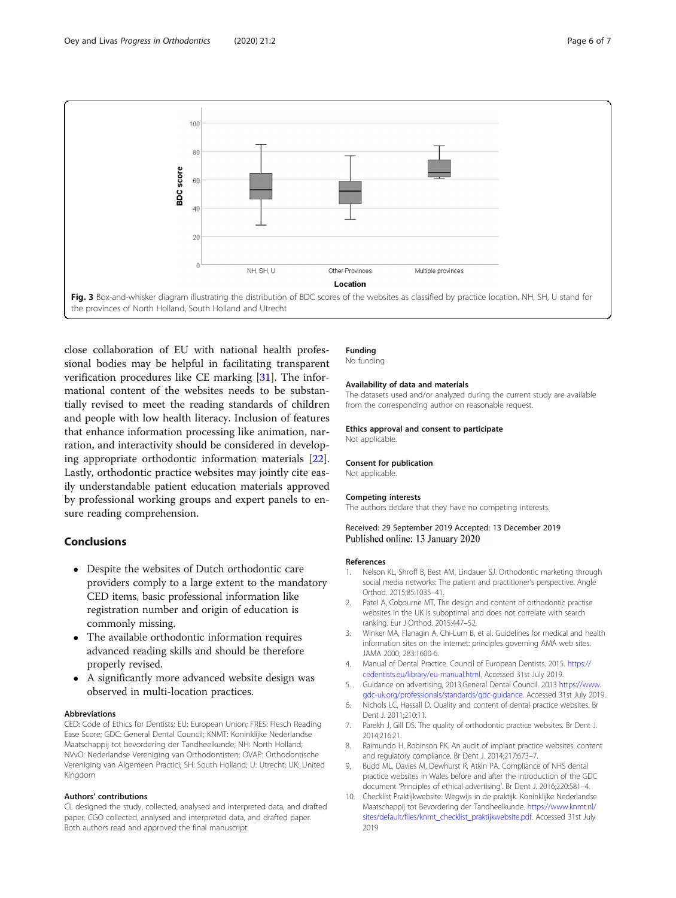

<span id="page-5-0"></span>

close collaboration of EU with national health professional bodies may be helpful in facilitating transparent verification procedures like CE marking [[31\]](#page-6-0). The informational content of the websites needs to be substantially revised to meet the reading standards of children and people with low health literacy. Inclusion of features that enhance information processing like animation, narration, and interactivity should be considered in developing appropriate orthodontic information materials [\[22](#page-6-0)]. Lastly, orthodontic practice websites may jointly cite easily understandable patient education materials approved by professional working groups and expert panels to ensure reading comprehension.

# Conclusions

- Despite the websites of Dutch orthodontic care providers comply to a large extent to the mandatory CED items, basic professional information like registration number and origin of education is commonly missing.
- The available orthodontic information requires advanced reading skills and should be therefore properly revised.
- A significantly more advanced website design was observed in multi-location practices.

#### Abbreviations

CED: Code of Ethics for Dentists; EU: European Union; FRES: Flesch Reading Ease Score; GDC: General Dental Council; KNMT: Koninklijke Nederlandse Maatschappij tot bevordering der Tandheelkunde; NH: North Holland; NVvO: Nederlandse Vereniging van Orthodontisten; OVAP: Orthodontische Vereniging van Algemeen Practici; SH: South Holland; U: Utrecht; UK: United Kingdom

#### Authors' contributions

CL designed the study, collected, analysed and interpreted data, and drafted paper. CGO collected, analysed and interpreted data, and drafted paper. Both authors read and approved the final manuscript.

## Funding

No funding

#### Availability of data and materials

The datasets used and/or analyzed during the current study are available from the corresponding author on reasonable request.

#### Ethics approval and consent to participate

Not applicable.

#### Consent for publication

Not applicable.

#### Competing interests

The authors declare that they have no competing interests.

#### Received: 29 September 2019 Accepted: 13 December 2019 Published online: 13 January 2020

#### References

- 1. Nelson KL, Shroff B, Best AM, Lindauer SJ. Orthodontic marketing through social media networks: The patient and practitioner's perspective. Angle Orthod. 2015;85:1035–41.
- 2. Patel A, Cobourne MT. The design and content of orthodontic practise websites in the UK is suboptimal and does not correlate with search ranking. Eur J Orthod. 2015:447–52.
- 3. Winker MA, Flanagin A, Chi-Lum B, et al. Guidelines for medical and health information sites on the internet: principles governing AMA web sites. JAMA 2000; 283:1600-6.
- 4. Manual of Dental Practice. Council of European Dentists. 2015. [https://](https://cedentists.eu/library/eu-manual.html) [cedentists.eu/library/eu-manual.html](https://cedentists.eu/library/eu-manual.html). Accessed 31st July 2019.
- 5. Guidance on advertising, 2013.General Dental Council. 2013 [https://www.](https://www.gdc-uk.org/professionals/standards/gdc-guidance) [gdc-uk.org/professionals/standards/gdc-guidance.](https://www.gdc-uk.org/professionals/standards/gdc-guidance) Accessed 31st July 2019.
- 6. Nichols LC, Hassall D. Quality and content of dental practice websites. Br Dent J. 2011;210:11.
- 7. Parekh J, Gill DS. The quality of orthodontic practice websites. Br Dent J. 2014;216:21.
- 8. Raimundo H, Robinson PK. An audit of implant practice websites: content and regulatory compliance. Br Dent J. 2014;217:673–7.
- 9. Budd ML, Davies M, Dewhurst R, Atkin PA. Compliance of NHS dental practice websites in Wales before and after the introduction of the GDC document 'Principles of ethical advertising'. Br Dent J. 2016;220:581–4.
- 10. Checklist Praktijkwebsite: Wegwijs in de praktijk. Koninklijke Nederlandse Maatschappij tot Bevordering der Tandheelkunde. [https://www.knmt.nl/](https://www.knmt.nl/sites/default/files/knmt_checklist_praktijkwebsite.pdf) [sites/default/files/knmt\\_checklist\\_praktijkwebsite.pdf.](https://www.knmt.nl/sites/default/files/knmt_checklist_praktijkwebsite.pdf) Accessed 31st July 2019